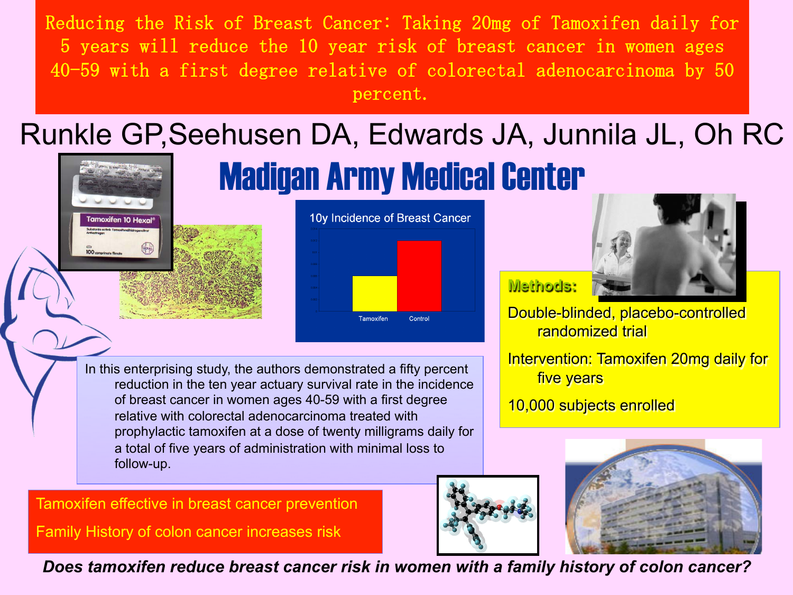Reducing the Risk of Breast Cancer: Taking 20mg of Tamoxifen daily for 5 years will reduce the 10 year risk of breast cancer in women ages 40-59 with a first degree relative of colorectal adenocarcinoma by 50 percent. 

## Runkle GP,Seehusen DA, Edwards JA, Junnila JL, Oh RC

Madigan Army Medical Center



In this enterprising study, the authors demonstrated a fifty percent reduction in the ten year actuary survival rate in the incidence of breast cancer in women ages 40-59 with a first degree relative with colorectal adenocarcinoma treated with prophylactic tamoxifen at a dose of twenty milligrams daily for a total of five years of administration with minimal loss to follow-up.

Tamoxifen effective in breast cancer prevention

Family History of colon cancer increases risk

**Tamoxifen 10 Hexc** 

*Does tamoxifen reduce breast cancer risk in women with a family history of colon cancer?* 



Double-blinded, placebo-controlled

**Methods:**

randomized trial Intervention: Tamoxifen 20mg daily for

five years

10,000 subjects enrolled